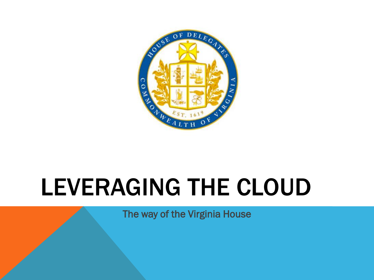

# LEVERAGING THE CLOUD

The way of the Virginia House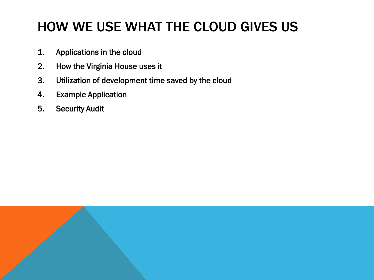### HOW WE USE WHAT THE CLOUD GIVES US

- 1. Applications in the cloud
- 2. How the Virginia House uses it
- 3. Utilization of development time saved by the cloud
- 4. Example Application
- 5. Security Audit

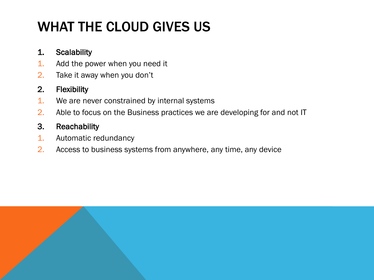# WHAT THE CLOUD GIVES US

#### 1. Scalability

- 1. Add the power when you need it
- 2. Take it away when you don't

#### 2. Flexibility

- 1. We are never constrained by internal systems
- 2. Able to focus on the Business practices we are developing for and not IT

#### 3. Reachability

- 1. Automatic redundancy
- 2. Access to business systems from anywhere, any time, any device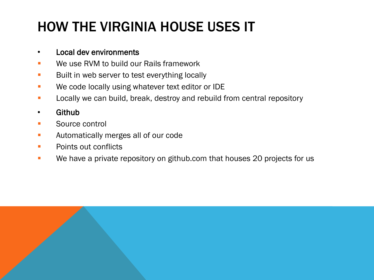# HOW THE VIRGINIA HOUSE USES IT

#### • Local dev environments

- **EXECUTE:** We use RVM to build our Rails framework
- **Built in web server to test everything locally**
- **We code locally using whatever text editor or IDE**
- **Locally we can build, break, destroy and rebuild from central repository**

#### • Github

- **Source control**
- **Automatically merges all of our code**
- **Points out conflicts**
- **•• We have a private repository on github.com that houses 20 projects for us**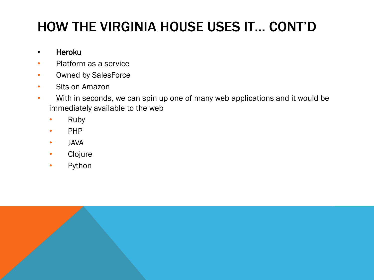# HOW THE VIRGINIA HOUSE USES IT… CONT'D

#### • Heroku

- Platform as a service
- Owned by SalesForce
- Sits on Amazon
- With in seconds, we can spin up one of many web applications and it would be immediately available to the web
	- Ruby
	- PHP
	- JAVA
	- Clojure
	- Python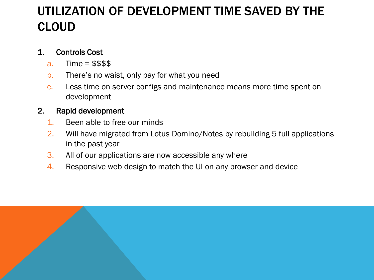### UTILIZATION OF DEVELOPMENT TIME SAVED BY THE CLOUD

#### 1. Controls Cost

- a.  $Time = $$$$
- b. There's no waist, only pay for what you need
- c. Less time on server configs and maintenance means more time spent on development

#### 2. Rapid development

- 1. Been able to free our minds
- 2. Will have migrated from Lotus Domino/Notes by rebuilding 5 full applications in the past year
- 3. All of our applications are now accessible any where
- 4. Responsive web design to match the UI on any browser and device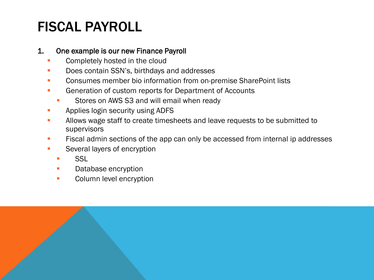## FISCAL PAYROLL

#### 1. One example is our new Finance Payroll

- Completely hosted in the cloud
- Does contain SSN's, birthdays and addresses
- **Consumes member bio information from on-premise SharePoint lists**
- Generation of custom reports for Department of Accounts
	- **Stores on AWS S3 and will email when ready**
- **Applies login security using ADFS**
- Allows wage staff to create timesheets and leave requests to be submitted to supervisors
- **Fiscal admin sections of the app can only be accessed from internal ip addresses**
- **Several layers of encryption** 
	- **SSL**
	- **Database encryption**
	- **Column level encryption**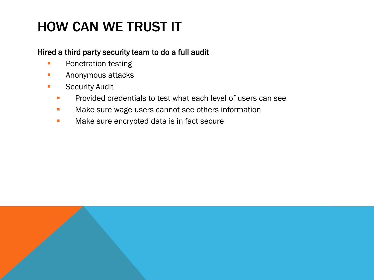### HOW CAN WE TRUST IT

#### Hired a third party security team to do a full audit

- **Penetration testing**
- **Anonymous attacks**
- **Security Audit** 
	- **Provided credentials to test what each level of users can see**
	- **Nake sure wage users cannot see others information**
	- Make sure encrypted data is in fact secure